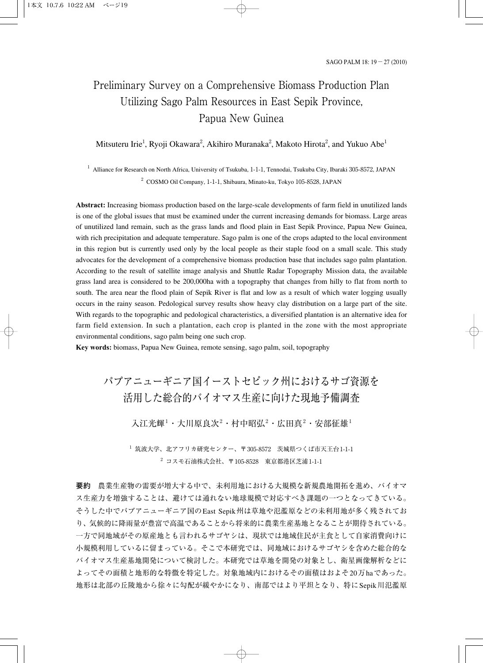# Preliminary Survey on a Comprehensive Biomass Production Plan Utilizing Sago Palm Resources in East Sepik Province, Papua New Guinea

### Mitsuteru Irie<sup>1</sup>, Ryoji Okawara<sup>2</sup>, Akihiro Muranaka<sup>2</sup>, Makoto Hirota<sup>2</sup>, and Yukuo Abe<sup>1</sup>

 $1$  Alliance for Research on North Africa, University of Tsukuba, 1-1-1, Tennodai, Tsukuba City, Ibaraki 305-8572, JAPAN <sup>2</sup> COSMO Oil Company, 1-1-1, Shibaura, Minato-ku, Tokyo 105-8528, JAPAN

**Abstract:** Increasing biomass production based on the large-scale developments of farm field in unutilized lands is one of the global issues that must be examined under the current increasing demands for biomass. Large areas of unutilized land remain, such as the grass lands and flood plain in East Sepik Province, Papua New Guinea, with rich precipitation and adequate temperature. Sago palm is one of the crops adapted to the local environment in this region but is currently used only by the local people as their staple food on a small scale. This study advocates for the development of a comprehensive biomass production base that includes sago palm plantation. According to the result of satellite image analysis and Shuttle Radar Topography Mission data, the available grass land area is considered to be 200,000ha with a topography that changes from hilly to flat from north to south. The area near the flood plain of Sepik River is flat and low as a result of which water logging usually occurs in the rainy season. Pedological survey results show heavy clay distribution on a large part of the site. With regards to the topographic and pedological characteristics, a diversified plantation is an alternative idea for farm field extension. In such a plantation, each crop is planted in the zone with the most appropriate environmental conditions, sago palm being one such crop.

**Key words:** biomass, Papua New Guinea, remote sensing, sago palm, soil, topography

# パプアニューギニア国イーストセピック州におけるサゴ資源を 活用した総合的バイオマス生産に向けた現地予備調査

入江光輝 $^1$ ・大川原良次 $^2$ ・村中昭弘 $^2$ ・広田真 $^2$ ・安部征雄 $^1$ 

 $^{-1}$ 筑波大学、北アフリカ研究センター、〒305-8572 茨城県つくば市天王台1-1-1  $2$  コスモ石油株式会社、〒105-8528 東京都港区芝浦1-1-1

**要約** 農業生産物の需要が増大する中で、未利用地における大規模な新規農地開拓を進め、バイオマ ス生産力を増強することは、避けては通れない地球規模で対応すべき課題の一つとなってきている。 そうした中でパプアニューギニア国のEast Sepik州は草地や氾濫原などの未利用地が多く残されてお り、気候的に降雨量が豊富で高温であることから将来的に農業生産基地となることが期待されている。 一方で同地域がその原産地とも言われるサゴヤシは、現状では地域住民が主食として自家消費向けに 小規模利用しているに留まっている。そこで本研究では、同地域におけるサゴヤシを含めた総合的な バイオマス生産基地開発について検討した。本研究では草地を開発の対象とし、衛星画像解析などに よってその面積と地形的な特徴を特定した。対象地域内におけるその面積はおよそ20万haであった。 地形は北部の丘陵地から徐々に勾配が緩やかになり、南部ではより平坦となり、特にSepik川氾濫原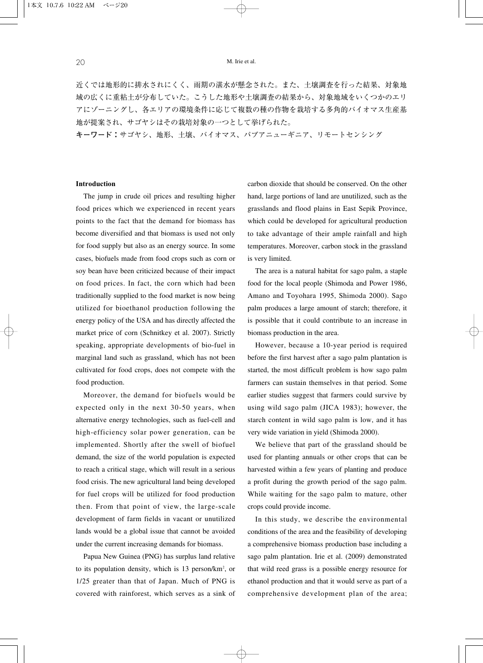近くでは地形的に排水されにくく、雨期の湛水が懸念された。また、土壌調査を行った結果、対象地 域の広くに重粘土が分布していた。こうした地形や土壌調査の結果から、対象地域をいくつかのエリ アにゾーニングし、各エリアの環境条件に応じて複数の種の作物を栽培する多角的バイオマス生産基 地が提案され、サゴヤシはその栽培対象の一つとして挙げられた。

**キーワード:**サゴヤシ、地形、土壌、バイオマス、パプアニューギニア、リモートセンシング

### **Introduction**

The jump in crude oil prices and resulting higher food prices which we experienced in recent years points to the fact that the demand for biomass has become diversified and that biomass is used not only for food supply but also as an energy source. In some cases, biofuels made from food crops such as corn or soy bean have been criticized because of their impact on food prices. In fact, the corn which had been traditionally supplied to the food market is now being utilized for bioethanol production following the energy policy of the USA and has directly affected the market price of corn (Schnitkey et al. 2007). Strictly speaking, appropriate developments of bio-fuel in marginal land such as grassland, which has not been cultivated for food crops, does not compete with the food production.

Moreover, the demand for biofuels would be expected only in the next 30-50 years, when alternative energy technologies, such as fuel-cell and high-efficiency solar power generation, can be implemented. Shortly after the swell of biofuel demand, the size of the world population is expected to reach a critical stage, which will result in a serious food crisis. The new agricultural land being developed for fuel crops will be utilized for food production then. From that point of view, the large-scale development of farm fields in vacant or unutilized lands would be a global issue that cannot be avoided under the current increasing demands for biomass.

Papua New Guinea (PNG) has surplus land relative to its population density, which is 13 person/km<sup>2</sup>, or 1/25 greater than that of Japan. Much of PNG is covered with rainforest, which serves as a sink of carbon dioxide that should be conserved. On the other hand, large portions of land are unutilized, such as the grasslands and flood plains in East Sepik Province, which could be developed for agricultural production to take advantage of their ample rainfall and high temperatures. Moreover, carbon stock in the grassland is very limited.

The area is a natural habitat for sago palm, a staple food for the local people (Shimoda and Power 1986, Amano and Toyohara 1995, Shimoda 2000). Sago palm produces a large amount of starch; therefore, it is possible that it could contribute to an increase in biomass production in the area.

However, because a 10-year period is required before the first harvest after a sago palm plantation is started, the most difficult problem is how sago palm farmers can sustain themselves in that period. Some earlier studies suggest that farmers could survive by using wild sago palm (JICA 1983); however, the starch content in wild sago palm is low, and it has very wide variation in yield (Shimoda 2000).

We believe that part of the grassland should be used for planting annuals or other crops that can be harvested within a few years of planting and produce a profit during the growth period of the sago palm. While waiting for the sago palm to mature, other crops could provide income.

In this study, we describe the environmental conditions of the area and the feasibility of developing a comprehensive biomass production base including a sago palm plantation. Irie et al. (2009) demonstrated that wild reed grass is a possible energy resource for ethanol production and that it would serve as part of a comprehensive development plan of the area;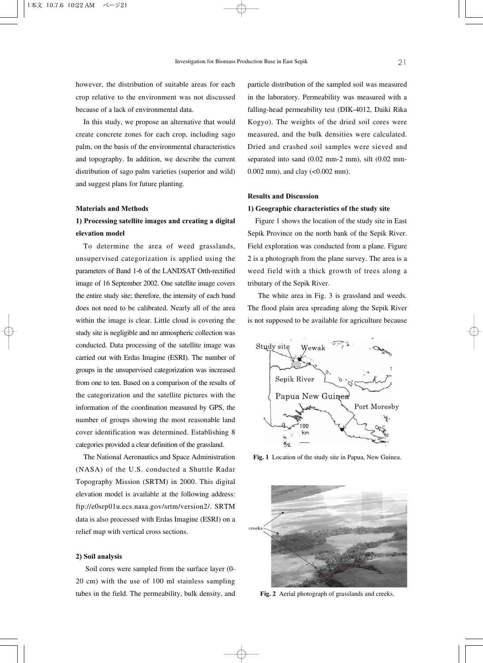however, the distribution of suitable areas for each crop relative to the environment was not discussed because of a lack of environmental data.

In this study, we propose an alternative that would create concrete zones for each crop, including sago palm, on the basis of the environmental characteristics and topography. In addition, we describe the current distribution of sago palm varieties (superior and wild) and suggest plans for future planting.

### **Materials and Methods**

# **1) Processing satellite images and creating a digital elevation model**

To determine the area of weed grasslands, unsupervised categorization is applied using the parameters of Band 1-6 of the LANDSAT Orth-rectified image of 16 September 2002. One satellite image covers the entire study site; therefore, the intensity of each band does not need to be calibrated. Nearly all of the area within the image is clear. Little cloud is covering the study site is negligible and no atmospheric collection was conducted. Data processing of the satellite image was carried out with Erdas Imagine (ESRI). The number of groups in the unsupervised categorization was increased from one to ten. Based on a comparison of the results of the categorization and the satellite pictures with the information of the coordination measured by GPS, the number of groups showing the most reasonable land cover identification was determined. Establishing 8 categories provided a clear definition of the grassland.

The National Aeronautics and Space Administration (NASA) of the U.S. conducted a Shuttle Radar Topography Mission (SRTM) in 2000. This digital elevation model is available at the following address: ftp://e0srp01u.ecs.nasa.gov/srtm/version2/. SRTM data is also processed with Erdas Imagine (ESRI) on a relief map with vertical cross sections.

#### **2) Soil analysis**

Soil cores were sampled from the surface layer (0- 20 cm) with the use of 100 ml stainless sampling tubes in the field. The permeability, bulk density, and particle distribution of the sampled soil was measured in the laboratory. Permeability was measured with a falling-head permeability test (DIK-4012, Daiki Rika Kogyo). The weights of the dried soil cores were measured, and the bulk densities were calculated. Dried and crashed soil samples were sieved and separated into sand (0.02 mm-2 mm), silt (0.02 mm-0.002 mm), and clay (<0.002 mm).

### **Results and Discussion**

### **1) Geographic characteristics of the study site**

Figure 1 shows the location of the study site in East Sepik Province on the north bank of the Sepik River. Field exploration was conducted from a plane. Figure 2 is a photograph from the plane survey. The area is a weed field with a thick growth of trees along a tributary of the Sepik River.

The white area in Fig. 3 is grassland and weeds. The flood plain area spreading along the Sepik River is not supposed to be available for agriculture because



**Fig. 1** Location of the study site in Papua, New Guinea.



**Fig. 2** Aerial photograph of grasslands and creeks.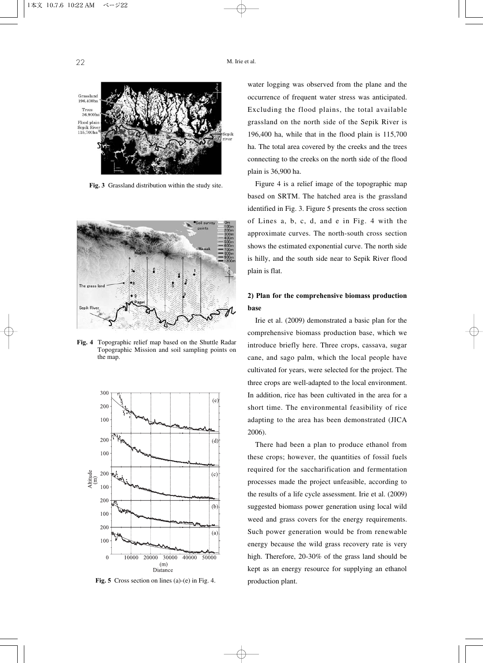

**Fig. 3** Grassland distribution within the study site.



**Fig. 4** Topographic relief map based on the Shuttle Radar Topographic Mission and soil sampling points on the map.



**Fig. 5** Cross section on lines (a)-(e) in Fig. 4.

water logging was observed from the plane and the occurrence of frequent water stress was anticipated. Excluding the flood plains, the total available grassland on the north side of the Sepik River is 196,400 ha, while that in the flood plain is 115,700 ha. The total area covered by the creeks and the trees connecting to the creeks on the north side of the flood plain is 36,900 ha.

Figure 4 is a relief image of the topographic map based on SRTM. The hatched area is the grassland identified in Fig. 3. Figure 5 presents the cross section of Lines a, b, c, d, and e in Fig. 4 with the approximate curves. The north-south cross section shows the estimated exponential curve. The north side is hilly, and the south side near to Sepik River flood plain is flat.

## **2) Plan for the comprehensive biomass production base**

Irie et al. (2009) demonstrated a basic plan for the comprehensive biomass production base, which we introduce briefly here. Three crops, cassava, sugar cane, and sago palm, which the local people have cultivated for years, were selected for the project. The three crops are well-adapted to the local environment. In addition, rice has been cultivated in the area for a short time. The environmental feasibility of rice adapting to the area has been demonstrated (JICA 2006).

There had been a plan to produce ethanol from these crops; however, the quantities of fossil fuels required for the saccharification and fermentation processes made the project unfeasible, according to the results of a life cycle assessment. Irie et al. (2009) suggested biomass power generation using local wild weed and grass covers for the energy requirements. Such power generation would be from renewable energy because the wild grass recovery rate is very high. Therefore, 20-30% of the grass land should be kept as an energy resource for supplying an ethanol production plant.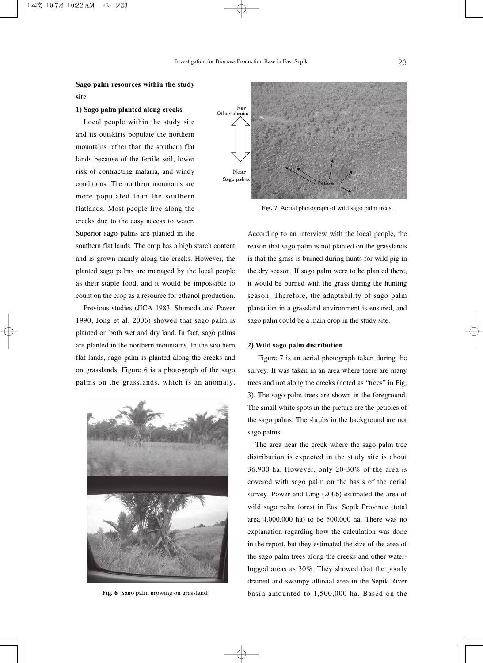## **Sago palm resources within the study site**

### **1) Sago palm planted along creeks**

Local people within the study site and its outskirts populate the northern mountains rather than the southern flat lands because of the fertile soil, lower risk of contracting malaria, and windy conditions. The northern mountains are more populated than the southern flatlands. Most people live along the creeks due to the easy access to water. Superior sago palms are planted in the

southern flat lands. The crop has a high starch content and is grown mainly along the creeks. However, the planted sago palms are managed by the local people as their staple food, and it would be impossible to count on the crop as a resource for ethanol production.

Previous studies (JICA 1983, Shimoda and Power 1990, Jong et al. 2006) showed that sago palm is planted on both wet and dry land. In fact, sago palms are planted in the northern mountains. In the southern flat lands, sago palm is planted along the creeks and on grasslands. Figure 6 is a photograph of the sago palms on the grasslands, which is an anomaly.



**Fig. 6** Sago palm growing on grassland.



Fig. 7 Aerial photograph of wild sago palm trees.

According to an interview with the local people, the reason that sago palm is not planted on the grasslands is that the grass is burned during hunts for wild pig in the dry season. If sago palm were to be planted there, it would be burned with the grass during the hunting season. Therefore, the adaptability of sago palm plantation in a grassland environment is ensured, and sago palm could be a main crop in the study site.

### **2) Wild sago palm distribution**

Figure 7 is an aerial photograph taken during the survey. It was taken in an area where there are many trees and not along the creeks (noted as "trees" in Fig. 3). The sago palm trees are shown in the foreground. The small white spots in the picture are the petioles of the sago palms. The shrubs in the background are not sago palms.

The area near the creek where the sago palm tree distribution is expected in the study site is about 36,900 ha. However, only 20-30% of the area is covered with sago palm on the basis of the aerial survey. Power and Ling (2006) estimated the area of wild sago palm forest in East Sepik Province (total area 4,000,000 ha) to be 500,000 ha. There was no explanation regarding how the calculation was done in the report, but they estimated the size of the area of the sago palm trees along the creeks and other waterlogged areas as 30%. They showed that the poorly drained and swampy alluvial area in the Sepik River basin amounted to 1,500,000 ha. Based on the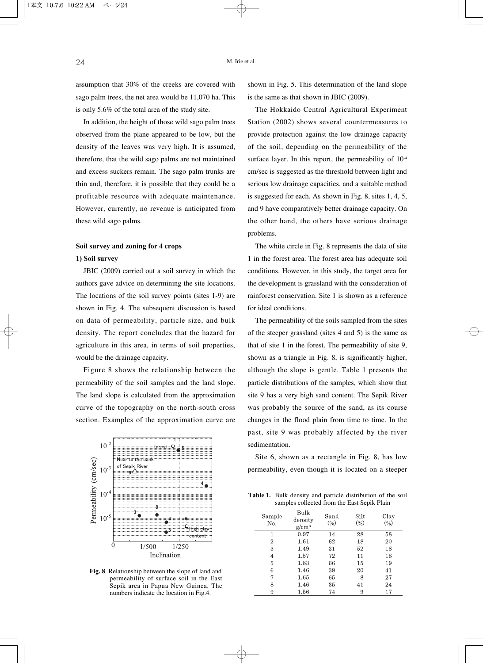assumption that 30% of the creeks are covered with sago palm trees, the net area would be 11,070 ha. This is only 5.6% of the total area of the study site.

In addition, the height of those wild sago palm trees observed from the plane appeared to be low, but the density of the leaves was very high. It is assumed, therefore, that the wild sago palms are not maintained and excess suckers remain. The sago palm trunks are thin and, therefore, it is possible that they could be a profitable resource with adequate maintenance. However, currently, no revenue is anticipated from these wild sago palms.

# **Soil survey and zoning for 4 crops**

### **1) Soil survey**

JBIC (2009) carried out a soil survey in which the authors gave advice on determining the site locations. The locations of the soil survey points (sites 1-9) are shown in Fig. 4. The subsequent discussion is based on data of permeability, particle size, and bulk density. The report concludes that the hazard for agriculture in this area, in terms of soil properties, would be the drainage capacity.

Figure 8 shows the relationship between the permeability of the soil samples and the land slope. The land slope is calculated from the approximation curve of the topography on the north-south cross section. Examples of the approximation curve are



**Fig. 8** Relationship between the slope of land and permeability of surface soil in the East Sepik area in Papua New Guinea. The numbers indicate the location in Fig.4.

shown in Fig. 5. This determination of the land slope is the same as that shown in JBIC (2009).

The Hokkaido Central Agricultural Experiment Station (2002) shows several countermeasures to provide protection against the low drainage capacity of the soil, depending on the permeability of the surface layer. In this report, the permeability of  $10<sup>4</sup>$ cm/sec is suggested as the threshold between light and serious low drainage capacities, and a suitable method is suggested for each. As shown in Fig. 8, sites 1, 4, 5, and 9 have comparatively better drainage capacity. On the other hand, the others have serious drainage problems.

The white circle in Fig. 8 represents the data of site 1 in the forest area. The forest area has adequate soil conditions. However, in this study, the target area for the development is grassland with the consideration of rainforest conservation. Site 1 is shown as a reference for ideal conditions.

The permeability of the soils sampled from the sites of the steeper grassland (sites 4 and 5) is the same as that of site 1 in the forest. The permeability of site 9, shown as a triangle in Fig. 8, is significantly higher, although the slope is gentle. Table 1 presents the particle distributions of the samples, which show that site 9 has a very high sand content. The Sepik River was probably the source of the sand, as its course changes in the flood plain from time to time. In the past, site 9 was probably affected by the river sedimentation.

Site 6, shown as a rectangle in Fig. 8, has low permeability, even though it is located on a steeper

**Table 1.** Bulk density and particle distribution of the soil samples collected from the East Sepik Plain

| Sample<br>No. | Bulk<br>density<br>$g/cm^3$ | Sand<br>(9) | Silt<br>$(\%)$ | Clay<br>$\left(\% \right)$ |
|---------------|-----------------------------|-------------|----------------|----------------------------|
| 1             | 0.97                        | 14          | 28             | 58                         |
| 2             | 1.61                        | 62          | 18             | 20                         |
| 3             | 1.49                        | 31          | 52             | 18                         |
| 4             | 1.57                        | 72          | 11             | 18                         |
| 5             | 1.83                        | 66          | 15             | 19                         |
| 6             | 1.46                        | 39          | 20             | 41                         |
| 7             | 1.65                        | 65          | 8              | 27                         |
| 8             | 1.46                        | 35          | 41             | 24                         |
| 9             | 1.56                        | 74          | 9              | 17                         |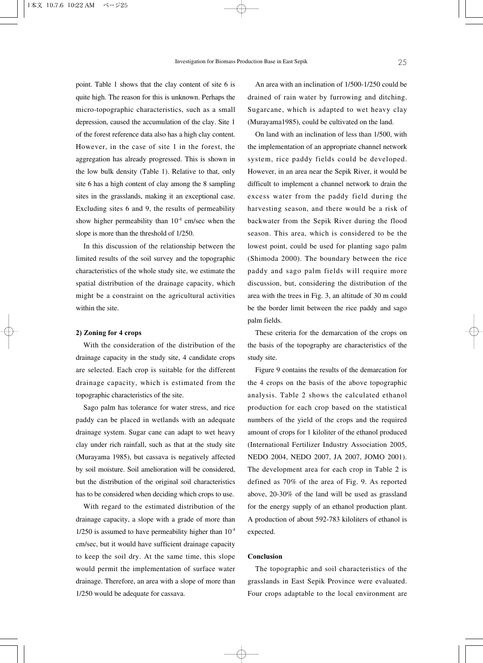point. Table 1 shows that the clay content of site 6 is quite high. The reason for this is unknown. Perhaps the micro-topographic characteristics, such as a small depression, caused the accumulation of the clay. Site 1 of the forest reference data also has a high clay content. However, in the case of site 1 in the forest, the aggregation has already progressed. This is shown in the low bulk density (Table 1). Relative to that, only site 6 has a high content of clay among the 8 sampling sites in the grasslands, making it an exceptional case. Excluding sites 6 and 9, the results of permeability show higher permeability than  $10^{-4}$  cm/sec when the slope is more than the threshold of 1/250.

In this discussion of the relationship between the limited results of the soil survey and the topographic characteristics of the whole study site, we estimate the spatial distribution of the drainage capacity, which might be a constraint on the agricultural activities within the site.

### **2) Zoning for 4 crops**

With the consideration of the distribution of the drainage capacity in the study site, 4 candidate crops are selected. Each crop is suitable for the different drainage capacity, which is estimated from the topographic characteristics of the site.

Sago palm has tolerance for water stress, and rice paddy can be placed in wetlands with an adequate drainage system. Sugar cane can adapt to wet heavy clay under rich rainfall, such as that at the study site (Murayama 1985), but cassava is negatively affected by soil moisture. Soil amelioration will be considered, but the distribution of the original soil characteristics has to be considered when deciding which crops to use.

With regard to the estimated distribution of the drainage capacity, a slope with a grade of more than  $1/250$  is assumed to have permeability higher than  $10^{-4}$ cm/sec, but it would have sufficient drainage capacity to keep the soil dry. At the same time, this slope would permit the implementation of surface water drainage. Therefore, an area with a slope of more than 1/250 would be adequate for cassava.

An area with an inclination of 1/500-1/250 could be drained of rain water by furrowing and ditching. Sugarcane, which is adapted to wet heavy clay (Murayama1985), could be cultivated on the land.

On land with an inclination of less than 1/500, with the implementation of an appropriate channel network system, rice paddy fields could be developed. However, in an area near the Sepik River, it would be difficult to implement a channel network to drain the excess water from the paddy field during the harvesting season, and there would be a risk of backwater from the Sepik River during the flood season. This area, which is considered to be the lowest point, could be used for planting sago palm (Shimoda 2000). The boundary between the rice paddy and sago palm fields will require more discussion, but, considering the distribution of the area with the trees in Fig. 3, an altitude of 30 m could be the border limit between the rice paddy and sago palm fields.

These criteria for the demarcation of the crops on the basis of the topography are characteristics of the study site.

Figure 9 contains the results of the demarcation for the 4 crops on the basis of the above topographic analysis. Table 2 shows the calculated ethanol production for each crop based on the statistical numbers of the yield of the crops and the required amount of crops for 1 kiloliter of the ethanol produced (International Fertilizer Industry Association 2005, NEDO 2004, NEDO 2007, JA 2007, JOMO 2001). The development area for each crop in Table 2 is defined as 70% of the area of Fig. 9. As reported above, 20-30% of the land will be used as grassland for the energy supply of an ethanol production plant. A production of about 592-783 kiloliters of ethanol is expected.

#### **Conclusion**

The topographic and soil characteristics of the grasslands in East Sepik Province were evaluated. Four crops adaptable to the local environment are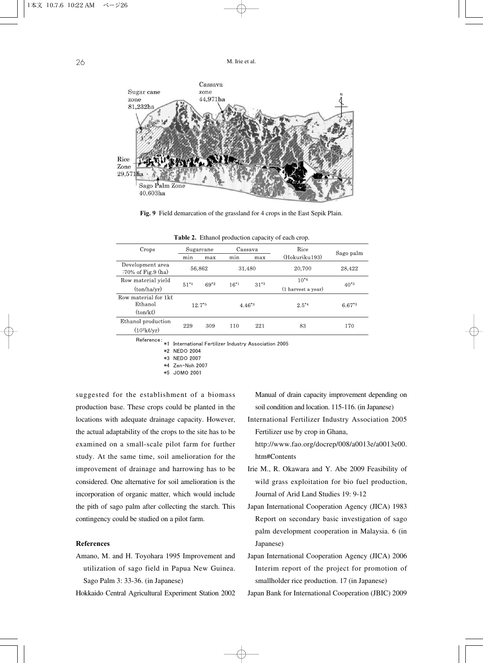

**Fig. 9** Field demarcation of the grassland for 4 crops in the East Sepik Plain.

| Crops                                            | Sugarcane   |        | Cassava     |        | Rice               | Sago palm   |  |
|--------------------------------------------------|-------------|--------|-------------|--------|--------------------|-------------|--|
|                                                  | min         | max    | min         | max    | (Hokuriku193)      |             |  |
| Development area<br>$:70\%$ of Fig.9 (ha)        | 56,862      |        |             | 31,480 | 20,700             | 28,422      |  |
| Row material yield                               | $51*1$      | $69*2$ | $16*1$      | $31*3$ | $10^{*4}$          | $40^{*3}$   |  |
| (ton/ha/yr)                                      |             |        |             |        | (1 harvest a year) |             |  |
| Row material for 1kl<br>Ethanol<br>$(ton/k\ell)$ | $12.7^{*5}$ |        | $4.46^{*3}$ |        | $2.5^{*4}$         | $6.67^{*3}$ |  |
| Ethanol production<br>$(10^3 k \ell/yr)$         | 229         | 309    | 110         | 221    | 83                 | 170         |  |
|                                                  |             |        |             |        |                    |             |  |

|  |  |  | Table 2. Ethanol production capacity of each crop. |  |  |  |
|--|--|--|----------------------------------------------------|--|--|--|
|--|--|--|----------------------------------------------------|--|--|--|

Reference: \*1 International Fertilizer Industry Association 2005

\*2 NEDO 2004

\*3 NEDO 2007

\*4 Zen-Noh 2007

\*5 JOMO 2001

suggested for the establishment of a biomass production base. These crops could be planted in the locations with adequate drainage capacity. However, the actual adaptability of the crops to the site has to be examined on a small-scale pilot farm for further study. At the same time, soil amelioration for the improvement of drainage and harrowing has to be considered. One alternative for soil amelioration is the incorporation of organic matter, which would include the pith of sago palm after collecting the starch. This contingency could be studied on a pilot farm.

#### **References**

Amano, M. and H. Toyohara 1995 Improvement and utilization of sago field in Papua New Guinea. Sago Palm 3: 33-36. (in Japanese)

Hokkaido Central Agricultural Experiment Station 2002

Manual of drain capacity improvement depending on soil condition and location. 115-116. (in Japanese)

International Fertilizer Industry Association 2005 Fertilizer use by crop in Ghana,

http://www.fao.org/docrep/008/a0013e/a0013e00. htm#Contents

- Irie M., R. Okawara and Y. Abe 2009 Feasibility of wild grass exploitation for bio fuel production, Journal of Arid Land Studies 19: 9-12
- Japan International Cooperation Agency (JICA) 1983 Report on secondary basic investigation of sago palm development cooperation in Malaysia. 6 (in Japanese)
- Japan International Cooperation Agency (JICA) 2006 Interim report of the project for promotion of smallholder rice production. 17 (in Japanese)

Japan Bank for International Cooperation (JBIC) 2009